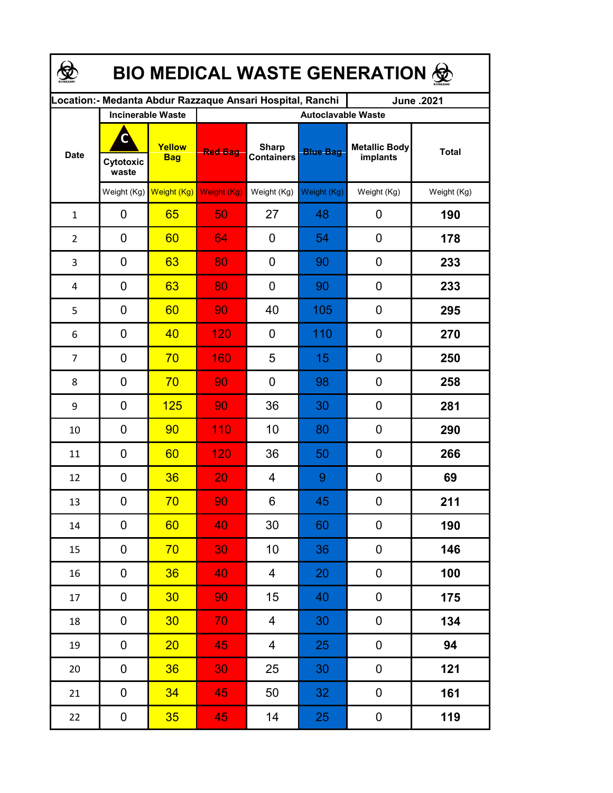| <b>BIO MEDICAL WASTE GENERATION ©</b> |                         |                          |                                                            |                                   |                 |                                  |              |  |  |  |
|---------------------------------------|-------------------------|--------------------------|------------------------------------------------------------|-----------------------------------|-----------------|----------------------------------|--------------|--|--|--|
|                                       |                         |                          | Location: - Medanta Abdur Razzaque Ansari Hospital, Ranchi |                                   |                 | June .2021                       |              |  |  |  |
|                                       |                         | <b>Incinerable Waste</b> | <b>Autoclavable Waste</b>                                  |                                   |                 |                                  |              |  |  |  |
| <b>Date</b>                           | С<br>Cytotoxic<br>waste | Yellow<br><b>Bag</b>     | <b>Red Bag</b>                                             | <b>Sharp</b><br><b>Containers</b> | <b>Blue Bag</b> | <b>Metallic Body</b><br>implants | <b>Total</b> |  |  |  |
|                                       | Weight $(Kg)$           | Weight (Kg)              | Weight (Kg)                                                | Weight (Kg)                       | Weight (Kg)     | Weight (Kg)                      | Weight (Kg)  |  |  |  |
| $\mathbf{1}$                          | 0                       | 65                       | 50                                                         | 27                                | 48              | 0                                | 190          |  |  |  |
| $\overline{2}$                        | 0                       | 60                       | 64                                                         | 0                                 | 54              | $\mathbf 0$                      | 178          |  |  |  |
| 3                                     | $\mathbf 0$             | 63                       | 80                                                         | 0                                 | 90              | $\mathbf 0$                      | 233          |  |  |  |
| 4                                     | $\mathbf 0$             | 63                       | 80                                                         | 0                                 | 90              | $\mathbf 0$                      | 233          |  |  |  |
| 5                                     | 0                       | 60                       | 90                                                         | 40                                | 105             | $\mathbf 0$                      | 295          |  |  |  |
| 6                                     | 0                       | 40                       | 120                                                        | 0                                 | 110             | $\mathbf 0$                      | 270          |  |  |  |
| 7                                     | 0                       | 70                       | 160                                                        | 5                                 | 15              | 0                                | 250          |  |  |  |
| 8                                     | $\mathbf 0$             | 70                       | 90                                                         | 0                                 | 98              | 0                                | 258          |  |  |  |
| 9                                     | 0                       | 125                      | 90                                                         | 36                                | 30              | 0                                | 281          |  |  |  |
| 10                                    | 0                       | 90                       | 110                                                        | 10                                | 80              | 0                                | 290          |  |  |  |
| 11                                    | 0                       | 60                       | 120                                                        | 36                                | 50              | 0                                | 266          |  |  |  |
| 12                                    | 0                       | 36                       | 20                                                         | 4                                 | 9               | 0                                | 69           |  |  |  |
| 13                                    | 0                       | 70                       | 90                                                         | 6                                 | 45              | 0                                | 211          |  |  |  |
| 14                                    | 0                       | 60                       | 40                                                         | 30                                | 60              | 0                                | 190          |  |  |  |
| 15                                    | 0                       | 70                       | 30                                                         | 10                                | 36              | 0                                | 146          |  |  |  |
| 16                                    | 0                       | 36                       | 40                                                         | $\overline{4}$                    | 20              | 0                                | 100          |  |  |  |
| 17                                    | 0                       | 30 <sub>2</sub>          | 90                                                         | 15 <sub>1</sub>                   | 40              | 0                                | 175          |  |  |  |
| 18                                    | 0                       | 30 <sub>2</sub>          | 70                                                         | $\overline{4}$                    | 30              | 0                                | 134          |  |  |  |
| 19                                    | 0                       | 20                       | 45                                                         | $\overline{4}$                    | 25              | 0                                | 94           |  |  |  |
| 20                                    | $\mathbf 0$             | 36                       | 30 <sub>1</sub>                                            | 25                                | 30              | 0                                | 121          |  |  |  |
| 21                                    | $\pmb{0}$               | 34                       | 45                                                         | 50                                | 32              | $\pmb{0}$                        | 161          |  |  |  |
| 22                                    | $\boldsymbol{0}$        | 35 <sub>2</sub>          | 45                                                         | 14                                | 25              | $\boldsymbol{0}$                 | 119          |  |  |  |